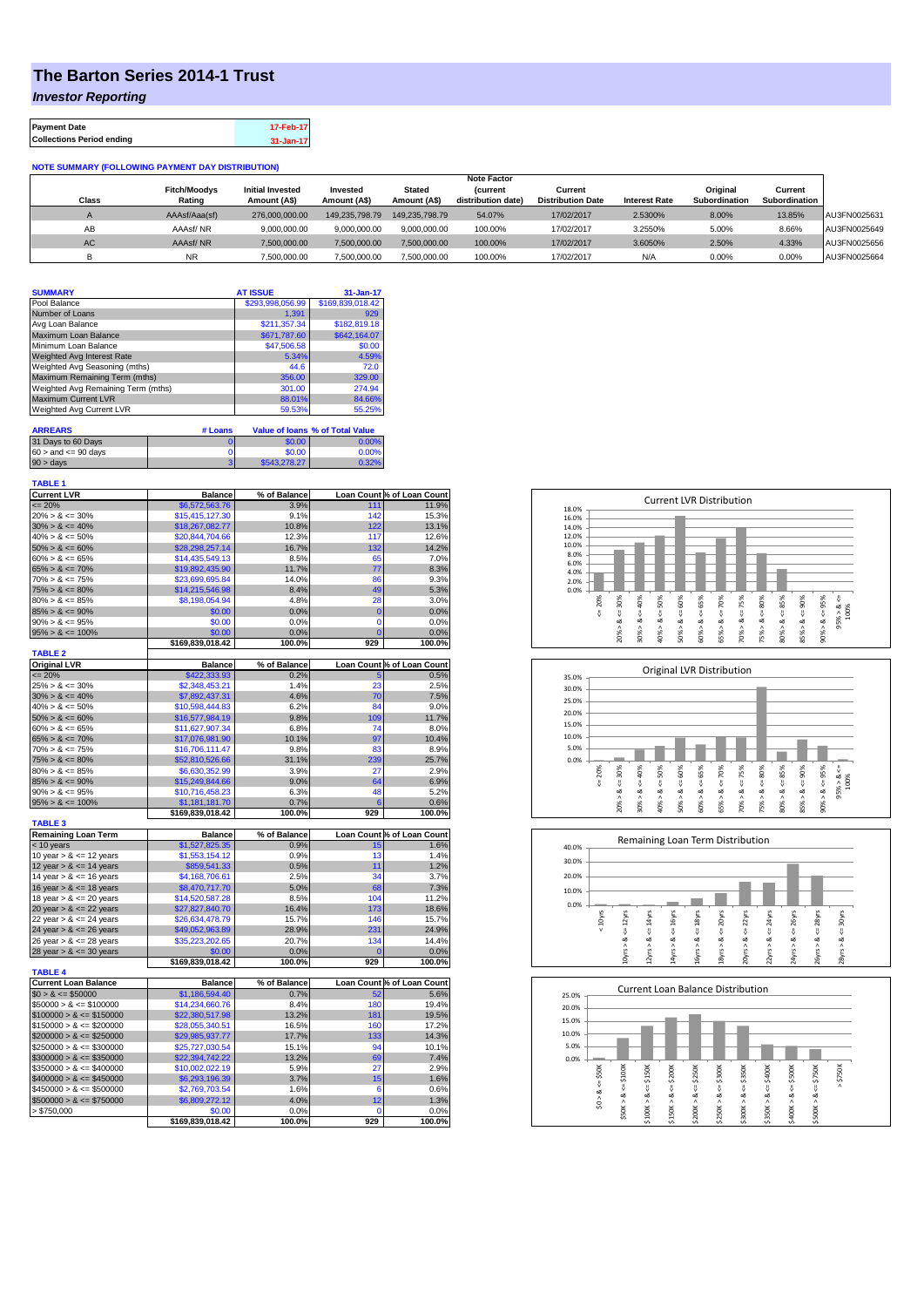## **The Barton Series 2014-1 Trust**

*Investor Reporting*

| <b>Payment Date</b>              | 17-Feb-17 |
|----------------------------------|-----------|
| <b>Collections Period ending</b> | 31-Jan-17 |

## **NOTE SUMMARY (FOLLOWING PAYMENT DAY DISTRIBUTION)**

|       |                     |                         |                 |                | <b>Note Factor</b> |                          |                      |               |               |              |
|-------|---------------------|-------------------------|-----------------|----------------|--------------------|--------------------------|----------------------|---------------|---------------|--------------|
|       | <b>Fitch/Moodvs</b> | <b>Initial Invested</b> | <b>Invested</b> | Stated         | <b>Current</b>     | Current                  |                      | Original      | Current       |              |
| Class | Rating              | Amount (A\$)            | Amount (A\$)    | Amount (A\$)   | distribution date) | <b>Distribution Date</b> | <b>Interest Rate</b> | Subordination | Subordination |              |
|       | AAAsf/Aaa(sf)       | 276,000,000,00          | 149.235.798.79  | 149.235.798.79 | 54.07%             | 17/02/2017               | 2.5300%              | 8.00%         | 13.85%        | AU3FN0025631 |
| AB    | AAAsf/NR            | 9.000.000.00            | 9.000.000.00    | 9.000.000.00   | 100.00%            | 17/02/2017               | 3.2550%              | 5.00%         | 8.66%         | AU3FN0025649 |
| AC.   | AAAsf/NR            | 7,500,000.00            | 7.500.000.00    | 7.500.000.00   | 100.00%            | 17/02/2017               | 3.6050%              | 2.50%         | 4.33%         | AU3FN0025656 |
|       | <b>NR</b>           | 7.500.000.00            | 7.500.000.00    | 7.500.000.00   | 100.00%            | 17/02/2017               | N/A                  | 0.00%         | 0.00%         | AU3FN0025664 |

| <b>SUMMARY</b>                     |         | <b>AT ISSUE</b>      | 31-Jan-17                              |  |
|------------------------------------|---------|----------------------|----------------------------------------|--|
| Pool Balance                       |         | \$293,998,056.99     | \$169,839,018.42                       |  |
| Number of Loans                    |         | 1.391                | 929                                    |  |
| Avg Loan Balance                   |         | \$211.357.34         | \$182,819.18                           |  |
| Maximum Loan Balance               |         | \$671,787.60         | \$642,164.07                           |  |
| Minimum Loan Balance               |         | \$47,506.58          | \$0.00                                 |  |
| <b>Weighted Avg Interest Rate</b>  |         | 5.34%                | 4.59%                                  |  |
| Weighted Avg Seasoning (mths)      |         | 44.6                 | 72.0                                   |  |
| Maximum Remaining Term (mths)      |         | 356.00               | 329.00                                 |  |
| Weighted Avg Remaining Term (mths) |         | 301.00               | 274.94                                 |  |
| <b>Maximum Current LVR</b>         |         | 88.01%               | 84.66%                                 |  |
| Weighted Avg Current LVR           |         | 59.53%               | 55.25%                                 |  |
| <b>ARREARS</b>                     | # Loans |                      | <b>Value of loans % of Total Value</b> |  |
| $0.15 \times 0.05$                 | - 1     | $\sim$ $\sim$ $\sim$ | 0.0001                                 |  |

| 31 Days to 60 Days        | \$0.00       | 0.00% |
|---------------------------|--------------|-------|
| $60 >$ and $\leq 90$ days | \$0.00       | 0.00% |
| 90 > days                 | \$543,278.27 | 0.32% |

## **TABLE 1**

| <b>Current LVR</b>             | <b>Balance</b>                 | % of Balance         |                | Loan Count % of Loan Count         |
|--------------------------------|--------------------------------|----------------------|----------------|------------------------------------|
| $= 20%$                        | \$6,572,563.76                 | 3.9%                 | 111            | 11.9%                              |
| $20\% > 8 \le 30\%$            | \$15,415,127.30                | 9.1%                 | 142            | 15.3%                              |
| $30\% > 8 \le 40\%$            | \$18,267,082.77                | 10.8%                | 122            | 13.1%                              |
| $40\% > 8 \le 50\%$            | \$20,844,704.66                | 12.3%                | 117            | 12.6%                              |
| $50\% > 8 \le 60\%$            | \$28,298,257.14                | 16.7%                | 132            | 14.2%                              |
| $60\% > 8 \le 65\%$            | \$14,435,549.13                | 8.5%                 | 65             | 7.0%                               |
| $65\% > 8 \le 70\%$            | \$19,892,435.90                | 11.7%                | 77             | 8.3%                               |
| $70\% > 8 \le 75\%$            | \$23,699,695.84                | 14.0%                | 86             | 9.3%                               |
| $75\% > 8 \le 80\%$            | \$14,215,546.98                | 8.4%                 | 49             | 5.3%                               |
| $80\% > 8 \le 85\%$            | \$8,198,054.94                 | 4.8%                 | 28             | 3.0%                               |
| $85\% > 8 \le 90\%$            | \$0.00                         | 0.0%                 | $\bf{0}$       | 0.0%                               |
| $90\% > 8 \le 95\%$            | \$0.00                         | 0.0%                 | $\Omega$       | 0.0%                               |
| $95\% > 8 \le 100\%$           | \$0.00                         | 0.0%                 | $\overline{0}$ | 0.0%                               |
|                                | \$169,839,018.42               | 100.0%               | 929            | 100.0%                             |
| <b>TABLE 2</b>                 |                                |                      |                |                                    |
| <b>Original LVR</b><br>$= 20%$ | <b>Balance</b>                 | % of Balance<br>0.2% |                | Loan Count % of Loan Count<br>0.5% |
| $25\% > 8 \le 30\%$            | \$422,333.93<br>\$2,348,453.21 | 1.4%                 | 5<br>23        | 2.5%                               |
| $30\% > 8 \le 40\%$            | \$7,892,437.31                 | 4.6%                 | 70             | 7.5%                               |
| $40\% > 8 \le 50\%$            | \$10,598,444.83                | 6.2%                 | 84             | 9.0%                               |
| $50\% > 8 \le 60\%$            | \$16,577,984.19                | 9.8%                 | 109            | 11.7%                              |
| $60\% > 8 \le 65\%$            | \$11,627,907.34                | 6.8%                 | 74             | 8.0%                               |
| $65\% > 8 \le 70\%$            | \$17,076,981.90                | 10.1%                | 97             | 10.4%                              |
| $70\% > 8 \le 75\%$            | \$16,706,111.47                | 9.8%                 | 83             | 8.9%                               |
| $75\% > 8 \le 80\%$            | \$52,810,526.66                | 31.1%                | 239            | 25.7%                              |
| $80\% > 8 \le 85\%$            | \$6,630,352.99                 | 3.9%                 | 27             | 2.9%                               |
| $85\% > 8 \le 90\%$            | \$15,249,844.66                | 9.0%                 | 64             | 6.9%                               |
| $90\% > 8 \le 95\%$            | \$10,716,458.23                | 6.3%                 | 48             | 5.2%                               |
| $95\% > 8 \le 100\%$           | \$1,181,181.70                 | 0.7%                 | 6              | 0.6%                               |
|                                |                                |                      |                |                                    |
|                                | \$169,839,018.42               | 100.0%               | 929            | 100.0%                             |
| <b>TABLE 3</b>                 |                                |                      |                |                                    |
| <b>Remaining Loan Term</b>     | <b>Balance</b>                 | % of Balance         |                | Loan Count % of Loan Count         |
| < 10 years                     | \$1,527,825.35                 | 0.9%                 | 15             | 1.6%                               |
| 10 year $> 8 \le 12$ years     | \$1,553,154.12                 | 0.9%                 | 13             | 1.4%                               |
| 12 year $> 8 \le 14$ years     | \$859,541.33                   | 0.5%                 | 11             | 1.2%                               |
| 14 year $> 8 \le 16$ years     | \$4,168,706.61                 | 2.5%                 | 34             | 3.7%                               |
| 16 year $> 8 \le 18$ years     | \$8,470,717.70                 | 5.0%                 | 68             | 7.3%                               |
| 18 year $> 8 \le 20$ years     | \$14,520,587.28                | 8.5%                 | 104            | 11.2%                              |
| 20 year $> 8 \le 22$ years     | \$27,827,840.70                | 16.4%                | 173            | 18.6%                              |
| 22 year $> 8 \le 24$ years     | \$26,634,478.79                | 15.7%                | 146            | 15.7%                              |
| 24 year $> 8 \le 26$ years     | \$49,052,963.89                | 28.9%                | 231            | 24.9%                              |
| 26 year $> 8 \le 28$ years     | \$35,223,202.65                | 20.7%                | 134            | 14.4%                              |
| 28 year $> 8 \le 30$ years     | \$0.00                         | 0.0%                 | Ō              | 0.0%                               |
| <b>TABLE 4</b>                 | \$169,839,018.42               | 100.0%               | 929            | 100.0%                             |
| <b>Current Loan Balance</b>    | <b>Balance</b>                 | % of Balance         |                | Loan Count % of Loan Count         |
| $$0 > 8 \leq $50000$           | \$1,186,594.40                 | 0.7%                 | 52             | 5.6%                               |
| $$50000 > 8 \le $100000$       | \$14,234,660.76                | 8.4%                 | 180            | 19.4%                              |
| $$100000 > 8 \leq $150000$     | \$22,380,517.98                | 13.2%                | 181            | 19.5%                              |
| $$150000 > 8 \leq $200000$     | \$28,055,340.51                | 16.5%                | 160            | 17.2%                              |
| $$200000 > 8 \leq $250000$     | \$29,985,937.77                | 17.7%                | 133            | 14.3%                              |
| $$250000 > 8 \leq $300000$     | \$25,727,030.54                | 15.1%                | 94             | 10.1%                              |
| $$300000 > 8 \leq $350000$     | \$22,394,742.22                | 13.2%                | 69             | 7.4%                               |
| $$350000 > 8 \leq $400000$     | \$10,002,022.19                | 5.9%                 | 27             | 2.9%                               |
| $$400000 > 8 \leq $450000$     | \$6,293,196.39                 | 3.7%                 | 15             | 1.6%                               |
| $$450000 > 8 \leq $500000$     | \$2,769,703.54                 | 1.6%                 | 6              | 0.6%                               |
| $$500000 > 8 \leq $750000$     | \$6,809,272.12                 | 4.0%                 | 12             | 1.3%                               |
| > \$750,000                    | \$0.00                         | 0.0%                 | $\mathbf 0$    | 0.0%                               |